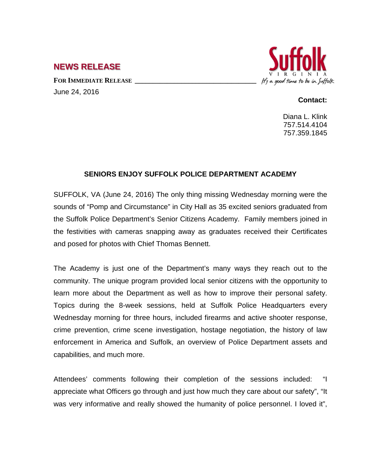## **NEWS RELEASE**

FOR **IMMEDIATE RELEASE** June 24, 2016



## **Contact:**

Diana L. Klink 757.514.4104 757.359.1845

## **SENIORS ENJOY SUFFOLK POLICE DEPARTMENT ACADEMY**

SUFFOLK, VA (June 24, 2016) The only thing missing Wednesday morning were the sounds of "Pomp and Circumstance" in City Hall as 35 excited seniors graduated from the Suffolk Police Department's Senior Citizens Academy. Family members joined in the festivities with cameras snapping away as graduates received their Certificates and posed for photos with Chief Thomas Bennett.

The Academy is just one of the Department's many ways they reach out to the community. The unique program provided local senior citizens with the opportunity to learn more about the Department as well as how to improve their personal safety. Topics during the 8-week sessions, held at Suffolk Police Headquarters every Wednesday morning for three hours, included firearms and active shooter response, crime prevention, crime scene investigation, hostage negotiation, the history of law enforcement in America and Suffolk, an overview of Police Department assets and capabilities, and much more.

Attendees' comments following their completion of the sessions included: "I appreciate what Officers go through and just how much they care about our safety", "It was very informative and really showed the humanity of police personnel. I loved it",